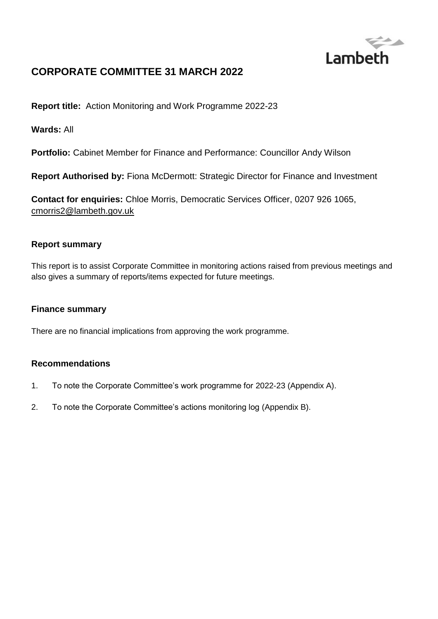

# **CORPORATE COMMITTEE 31 MARCH 2022**

**Report title:** Action Monitoring and Work Programme 2022-23

**Wards:** All

**Portfolio:** Cabinet Member for Finance and Performance: Councillor Andy Wilson

**Report Authorised by:** Fiona McDermott: Strategic Director for Finance and Investment

**Contact for enquiries:** Chloe Morris, Democratic Services Officer, 0207 926 1065, [cmorris2@lambeth.gov.uk](mailto:cmorris2@lambeth.gov.uk)

#### **Report summary**

This report is to assist Corporate Committee in monitoring actions raised from previous meetings and also gives a summary of reports/items expected for future meetings.

#### **Finance summary**

There are no financial implications from approving the work programme.

#### **Recommendations**

- 1. To note the Corporate Committee's work programme for 2022-23 (Appendix A).
- 2. To note the Corporate Committee's actions monitoring log (Appendix B).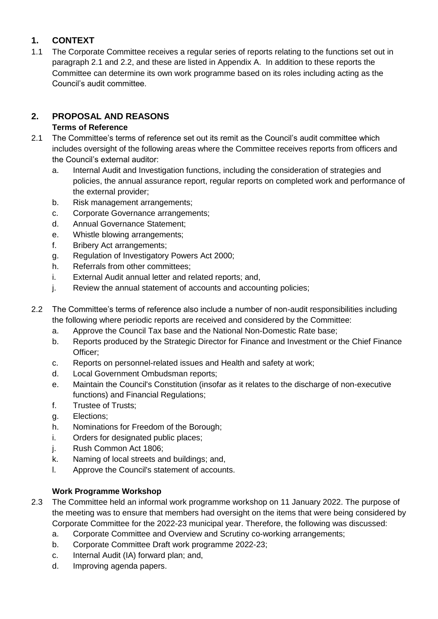## **1. CONTEXT**

1.1 The Corporate Committee receives a regular series of reports relating to the functions set out in paragraph 2.1 and 2.2, and these are listed in Appendix A. In addition to these reports the Committee can determine its own work programme based on its roles including acting as the Council's audit committee.

# **2. PROPOSAL AND REASONS**

## **Terms of Reference**

- 2.1 The Committee's terms of reference set out its remit as the Council's audit committee which includes oversight of the following areas where the Committee receives reports from officers and the Council's external auditor:
	- a. Internal Audit and Investigation functions, including the consideration of strategies and policies, the annual assurance report, regular reports on completed work and performance of the external provider;
	- b. Risk management arrangements;
	- c. Corporate Governance arrangements;
	- d. Annual Governance Statement;
	- e. Whistle blowing arrangements;
	- f. Bribery Act arrangements;
	- g. Regulation of Investigatory Powers Act 2000;
	- h. Referrals from other committees;
	- i. External Audit annual letter and related reports; and,
	- j. Review the annual statement of accounts and accounting policies;
- 2.2 The Committee's terms of reference also include a number of non-audit responsibilities including the following where periodic reports are received and considered by the Committee:
	- a. Approve the Council Tax base and the National Non-Domestic Rate base;
	- b. Reports produced by the Strategic Director for Finance and Investment or the Chief Finance Officer;
	- c. Reports on personnel-related issues and Health and safety at work;
	- d. Local Government Ombudsman reports;
	- e. Maintain the Council's Constitution (insofar as it relates to the discharge of non-executive functions) and Financial Regulations;
	- f. Trustee of Trusts;
	- g. Elections;
	- h. Nominations for Freedom of the Borough;
	- i. Orders for designated public places;
	- j. Rush Common Act 1806;
	- k. Naming of local streets and buildings; and,
	- l. Approve the Council's statement of accounts.

# **Work Programme Workshop**

- 2.3 The Committee held an informal work programme workshop on 11 January 2022. The purpose of the meeting was to ensure that members had oversight on the items that were being considered by Corporate Committee for the 2022-23 municipal year. Therefore, the following was discussed:
	- a. Corporate Committee and Overview and Scrutiny co-working arrangements;
	- b. Corporate Committee Draft work programme 2022-23;
	- c. Internal Audit (IA) forward plan; and,
	- d. Improving agenda papers.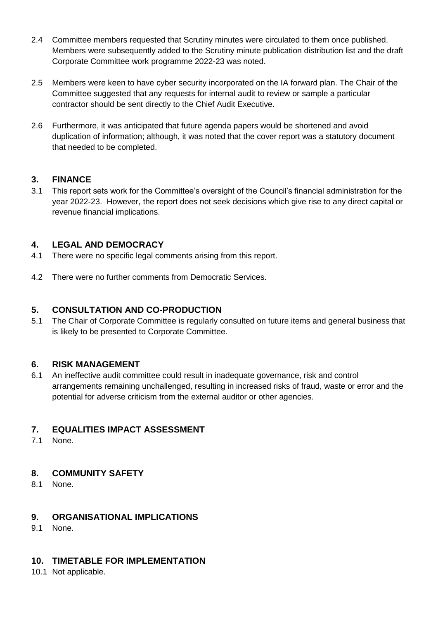- 2.4 Committee members requested that Scrutiny minutes were circulated to them once published. Members were subsequently added to the Scrutiny minute publication distribution list and the draft Corporate Committee work programme 2022-23 was noted.
- 2.5 Members were keen to have cyber security incorporated on the IA forward plan. The Chair of the Committee suggested that any requests for internal audit to review or sample a particular contractor should be sent directly to the Chief Audit Executive.
- 2.6 Furthermore, it was anticipated that future agenda papers would be shortened and avoid duplication of information; although, it was noted that the cover report was a statutory document that needed to be completed.

### **3. FINANCE**

3.1 This report sets work for the Committee's oversight of the Council's financial administration for the year 2022-23. However, the report does not seek decisions which give rise to any direct capital or revenue financial implications.

### **4. LEGAL AND DEMOCRACY**

- 4.1 There were no specific legal comments arising from this report.
- 4.2 There were no further comments from Democratic Services.

### **5. CONSULTATION AND CO-PRODUCTION**

5.1 The Chair of Corporate Committee is regularly consulted on future items and general business that is likely to be presented to Corporate Committee.

### **6. RISK MANAGEMENT**

6.1 An ineffective audit committee could result in inadequate governance, risk and control arrangements remaining unchallenged, resulting in increased risks of fraud, waste or error and the potential for adverse criticism from the external auditor or other agencies.

## **7. EQUALITIES IMPACT ASSESSMENT**

7.1 None.

## **8. COMMUNITY SAFETY**

8.1 None.

### **9. ORGANISATIONAL IMPLICATIONS**

9.1 None.

# **10. TIMETABLE FOR IMPLEMENTATION**

10.1 Not applicable.